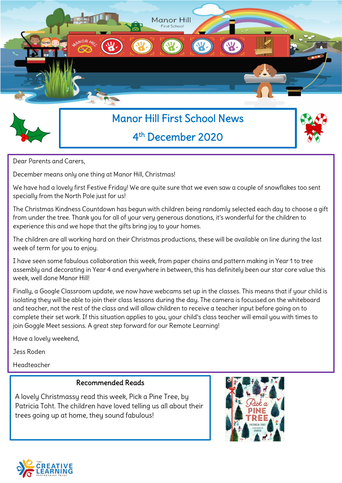



# Manor Hill First School News 4 th December 2020



Dear Parents and Carers,

December means only one thing at Manor Hill, Christmas!

We have had a lovely first Festive Friday! We are quite sure that we even saw a couple of snowflakes too sent specially from the North Pole just for us!

The Christmas Kindness Countdown has begun with children being randomly selected each day to choose a gift from under the tree. Thank you for all of your very generous donations, it's wonderful for the children to experience this and we hope that the gifts bring joy to your homes.

The children are all working hard on their Christmas productions, these will be available on line during the last week of term for you to enjoy.

I have seen some fabulous collaboration this week, from paper chains and pattern making in Year 1 to tree assembly and decorating in Year 4 and everywhere in between, this has definitely been our star core value this week, well done Manor Hill!

Finally, a Google Classroom update, we now have webcams set up in the classes. This means that if your child is isolating they will be able to join their class lessons during the day. The camera is focussed on the whiteboard and teacher, not the rest of the class and will allow children to receive a teacher input before going on to complete their set work. If this situation applies to you, your child's class teacher will email you with times to join Goggle Meet sessions. A great step forward for our Remote Learning!

Have a lovely weekend,

Jess Roden

Headteacher

## Recommended Reads

A lovely Christmassy read this week, Pick a Pine Tree, by Patricia Toht. The children have loved telling us all about their trees going up at home, they sound fabulous!